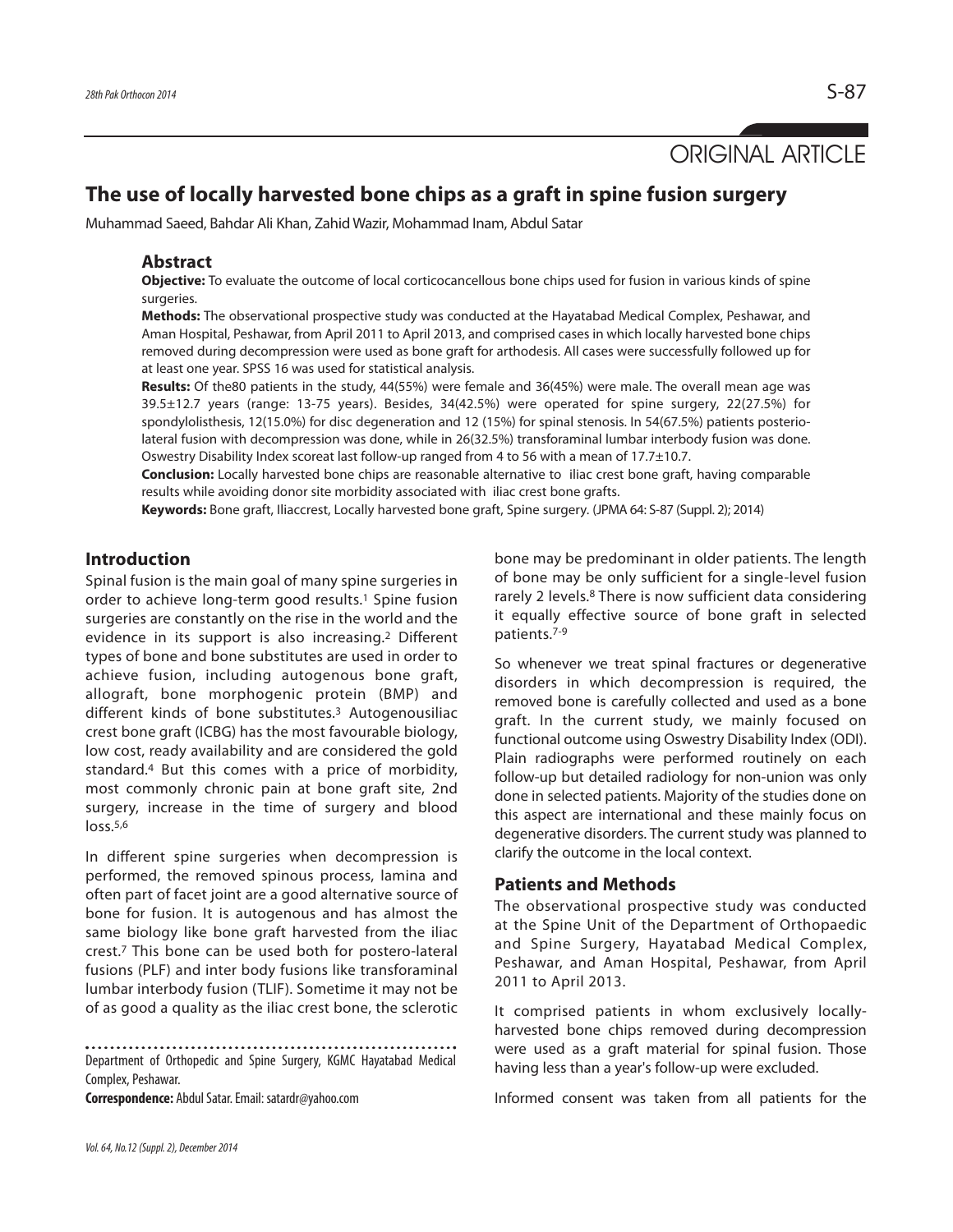ORIGINAL ARTICLE

# **The use of locally harvested bone chips as a graft in spine fusion surgery**

Muhammad Saeed, Bahdar Ali Khan, Zahid Wazir, Mohammad Inam, Abdul Satar

#### **Abstract**

**Objective:** To evaluate the outcome of local corticocancellous bone chips used for fusion in various kinds of spine surgeries.

**Methods:** The observational prospective study was conducted at the Hayatabad Medical Complex, Peshawar, and Aman Hospital, Peshawar, from April 2011 to April 2013, and comprised cases in which locally harvested bone chips removed during decompression were used as bone graft for arthodesis. All cases were successfully followed up for at least one year. SPSS 16 was used for statistical analysis.

**Results:** Of the80 patients in the study, 44(55%) were female and 36(45%) were male. The overall mean age was 39.5±12.7 years (range: 13-75 years). Besides, 34(42.5%) were operated for spine surgery, 22(27.5%) for spondylolisthesis, 12(15.0%) for disc degeneration and 12 (15%) for spinal stenosis. In 54(67.5%) patients posteriolateral fusion with decompression was done, while in 26(32.5%) transforaminal lumbar interbody fusion was done. Oswestry Disability Index scoreat last follow-up ranged from 4 to 56 with a mean of 17.7±10.7.

**Conclusion:** Locally harvested bone chips are reasonable alternative to iliac crest bone graft, having comparable results while avoiding donor site morbidity associated with iliac crest bone grafts.

**Keywords:** Bone graft, Iliaccrest, Locally harvested bone graft, Spine surgery. (JPMA 64: S-87 (Suppl. 2); 2014)

### **Introduction**

Spinal fusion is the main goal of many spine surgeries in order to achieve long-term good results.<sup>1</sup> Spine fusion surgeries are constantly on the rise in the world and the evidence in its support is also increasing.<sup>2</sup> Different types of bone and bone substitutes are used in order to achieve fusion, including autogenous bone graft, allograft, bone morphogenic protein (BMP) and different kinds of bone substitutes.<sup>3</sup> Autogenousiliac crest bone graft (ICBG) has the most favourable biology, low cost, ready availability and are considered the gold standard.<sup>4</sup> But this comes with a price of morbidity, most commonly chronic pain at bone graft site, 2nd surgery, increase in the time of surgery and blood  $\log 5.5$ 

In different spine surgeries when decompression is performed, the removed spinous process, lamina and often part of facet joint are a good alternative source of bone for fusion. It is autogenous and has almost the same biology like bone graft harvested from the iliac crest.<sup>7</sup> This bone can be used both for postero-lateral fusions (PLF) and inter body fusions like transforaminal lumbar interbody fusion (TLIF). Sometime it may not be of as good a quality as the iliac crest bone, the sclerotic

Department of Orthopedic and Spine Surgery, KGMC Hayatabad Medical Complex, Peshawar.

**Correspondence:** Abdul Satar. Email: satardr@yahoo.com

bone may be predominant in older patients. The length of bone may be only sufficient for a single-level fusion rarely 2 levels.<sup>8</sup> There is now sufficient data considering it equally effective source of bone graft in selected patients.7-9

So whenever we treat spinal fractures or degenerative disorders in which decompression is required, the removed bone is carefully collected and used as a bone graft. In the current study, we mainly focused on functional outcome using Oswestry Disability Index (ODI). Plain radiographs were performed routinely on each follow-up but detailed radiology for non-union was only done in selected patients. Majority of the studies done on this aspect are international and these mainly focus on degenerative disorders. The current study was planned to clarify the outcome in the local context.

## **Patients and Methods**

The observational prospective study was conducted at the Spine Unit of the Department of Orthopaedic and Spine Surgery, Hayatabad Medical Complex, Peshawar, and Aman Hospital, Peshawar, from April 2011 to April 2013.

It comprised patients in whom exclusively locallyharvested bone chips removed during decompression were used as a graft material for spinal fusion. Those having less than a year's follow-up were excluded.

Informed consent was taken from all patients for the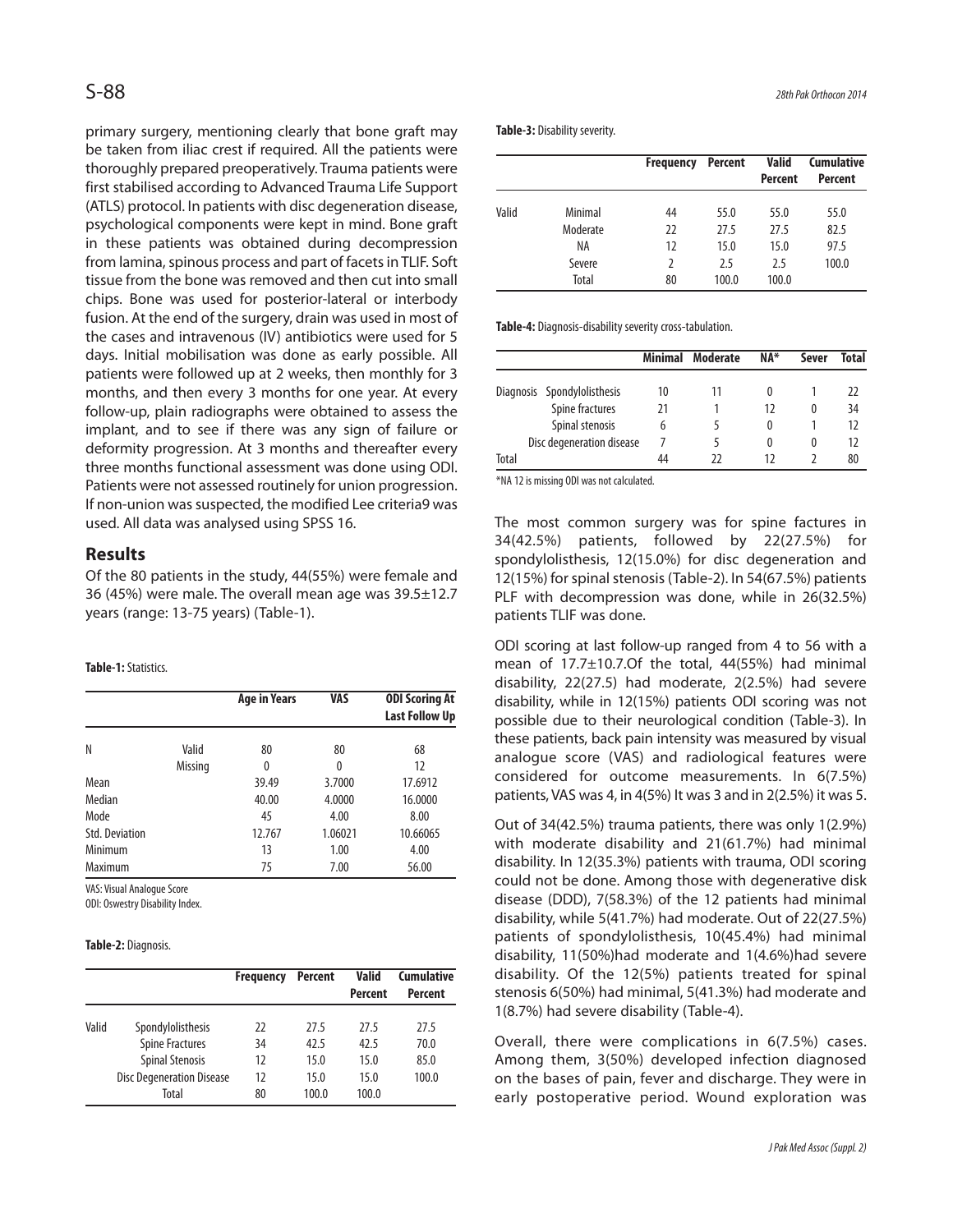primary surgery, mentioning clearly that bone graft may be taken from iliac crest if required. All the patients were thoroughly prepared preoperatively. Trauma patients were first stabilised according to Advanced Trauma Life Support (ATLS) protocol. In patients with disc degeneration disease, psychological components were kept in mind. Bone graft in these patients was obtained during decompression from lamina, spinous process and part of facets in TLIF. Soft tissue from the bone was removed and then cut into small chips. Bone was used for posterior-lateral or interbody fusion. At the end of the surgery, drain was used in most of the cases and intravenous (IV) antibiotics were used for 5 days. Initial mobilisation was done as early possible. All patients were followed up at 2 weeks, then monthly for 3 months, and then every 3 months for one year. At every follow-up, plain radiographs were obtained to assess the implant, and to see if there was any sign of failure or deformity progression. At 3 months and thereafter every three months functional assessment was done using ODI. Patients were not assessed routinely for union progression. If non-union was suspected, the modified Lee criteria9 was used. All data was analysed using SPSS 16.

## **Results**

Of the 80 patients in the study, 44(55%) were female and 36 (45%) were male. The overall mean age was 39.5±12.7 years (range: 13-75 years) (Table-1).

#### **Table-1:**Statistics.

|                       |         | <b>Age in Years</b> | VAS     | <b>ODI Scoring At</b><br><b>Last Follow Up</b> |
|-----------------------|---------|---------------------|---------|------------------------------------------------|
| N                     | Valid   | 80                  | 80      | 68                                             |
|                       | Missing | 0                   | 0       | 12                                             |
| Mean                  |         | 39.49               | 3.7000  | 17.6912                                        |
| Median                |         | 40.00               | 4.0000  | 16.0000                                        |
| Mode                  |         | 45                  | 4.00    | 8.00                                           |
| <b>Std. Deviation</b> |         | 12.767              | 1.06021 | 10.66065                                       |
| Minimum               |         | 13                  | 1.00    | 4.00                                           |
| Maximum               |         | 75                  | 7.00    | 56.00                                          |

VAS: Visual Analogue Score

ODI: Oswestry Disability Index.

#### **Table-2:** Diagnosis.

|       |                                  | <b>Frequency</b> | Percent | <b>Valid</b><br>Percent | <b>Cumulative</b><br><b>Percent</b> |
|-------|----------------------------------|------------------|---------|-------------------------|-------------------------------------|
| Valid | Spondylolisthesis                | 22               | 27.5    | 27.5                    | 27.5                                |
|       | <b>Spine Fractures</b>           | 34               | 42.5    | 42.5                    | 70.0                                |
|       | <b>Spinal Stenosis</b>           | 12               | 15.0    | 15.0                    | 85.0                                |
|       | <b>Disc Degeneration Disease</b> | 12               | 15.0    | 15.0                    | 100.0                               |
|       | Total                            | 80               | 100.0   | 100.0                   |                                     |

**Table-3:** Disability severity.

|       |          | Frequency | <b>Percent</b> | <b>Valid</b><br><b>Percent</b> | <b>Cumulative</b><br><b>Percent</b> |
|-------|----------|-----------|----------------|--------------------------------|-------------------------------------|
| Valid | Minimal  | 44        | 55.0           | 55.0                           | 55.0                                |
|       | Moderate | 22        | 27.5           | 27.5                           | 82.5                                |
|       | ΝA       | 12        | 15.0           | 15.0                           | 97.5                                |
|       | Severe   | 2         | 2.5            | 2.5                            | 100.0                               |
|       | Total    | 80        | 100.0          | 100.0                          |                                     |

**Table-4:** Diagnosis-disability severity cross-tabulation.

|       |                             |    | Minimal Moderate | <b>NA*</b> | Sever | Total |
|-------|-----------------------------|----|------------------|------------|-------|-------|
|       | Diagnosis Spondylolisthesis | 10 | H                |            |       | 22    |
|       | Spine fractures             | 21 |                  | 17         | 0     | 34    |
|       | Spinal stenosis             | 6  |                  |            |       | 12    |
|       | Disc degeneration disease   |    |                  |            |       | 12    |
| Total |                             | 44 | วว               | 17         |       | 80    |

\*NA 12 is missing ODI was not calculated.

The most common surgery was for spine factures in 34(42.5%) patients, followed by 22(27.5%) for spondylolisthesis, 12(15.0%) for disc degeneration and 12(15%) for spinal stenosis (Table-2). In 54(67.5%) patients PLF with decompression was done, while in 26(32.5%) patients TLIF was done.

ODI scoring at last follow-up ranged from 4 to 56 with a mean of 17.7±10.7.Of the total, 44(55%) had minimal disability, 22(27.5) had moderate, 2(2.5%) had severe disability, while in 12(15%) patients ODI scoring was not possible due to their neurological condition (Table-3). In these patients, back pain intensity was measured by visual analogue score (VAS) and radiological features were considered for outcome measurements. In 6(7.5%) patients, VAS was 4, in 4(5%) It was 3 and in 2(2.5%) it was 5.

Out of 34(42.5%) trauma patients, there was only 1(2.9%) with moderate disability and 21(61.7%) had minimal disability. In 12(35.3%) patients with trauma, ODI scoring could not be done. Among those with degenerative disk disease (DDD), 7(58.3%) of the 12 patients had minimal disability, while 5(41.7%) had moderate. Out of 22(27.5%) patients of spondylolisthesis, 10(45.4%) had minimal disability, 11(50%)had moderate and 1(4.6%)had severe disability. Of the 12(5%) patients treated for spinal stenosis 6(50%) had minimal, 5(41.3%) had moderate and 1(8.7%) had severe disability (Table-4).

Overall, there were complications in 6(7.5%) cases. Among them, 3(50%) developed infection diagnosed on the bases of pain, fever and discharge. They were in early postoperative period. Wound exploration was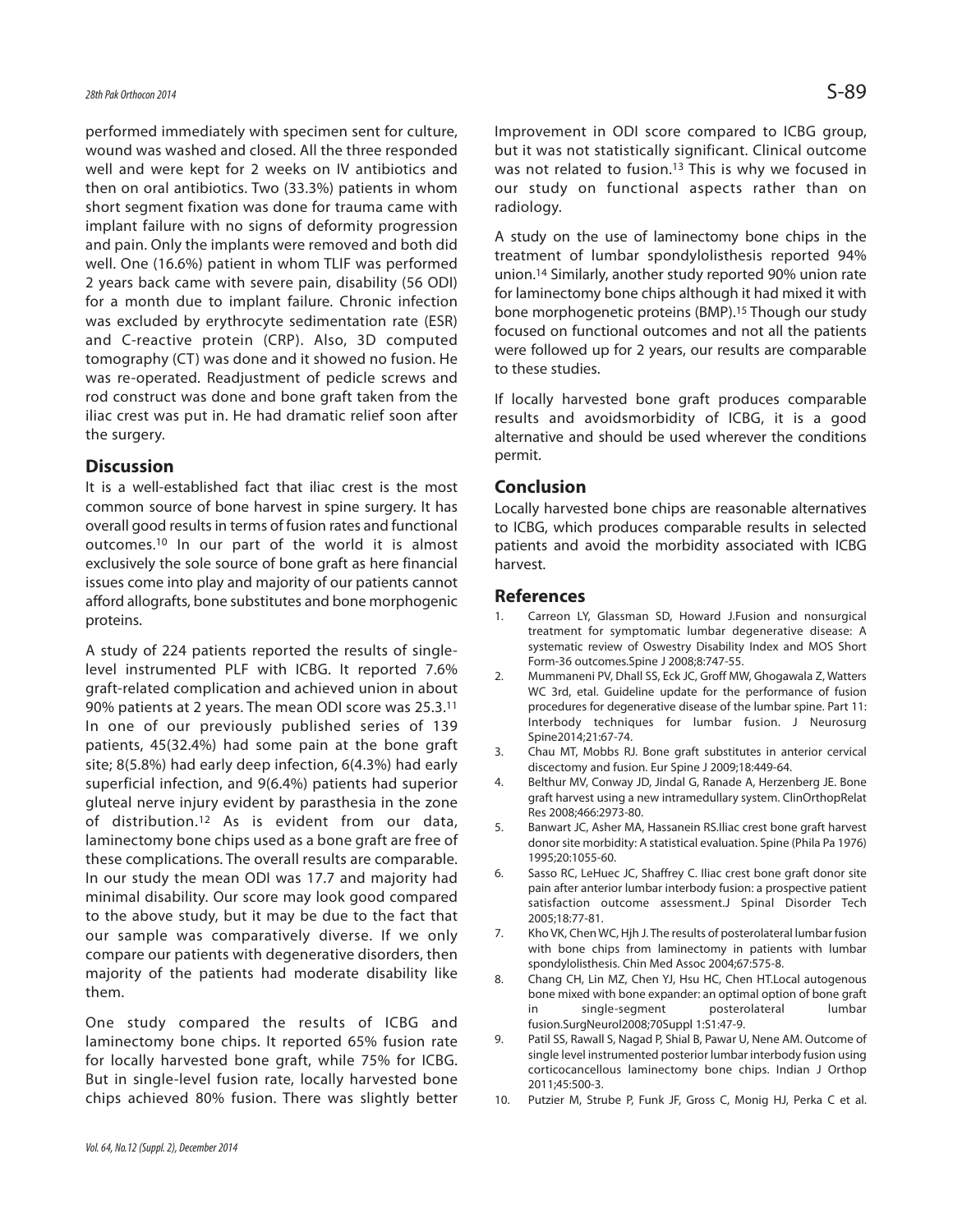performed immediately with specimen sent for culture, wound was washed and closed. All the three responded well and were kept for 2 weeks on IV antibiotics and then on oral antibiotics. Two (33.3%) patients in whom short segment fixation was done for trauma came with implant failure with no signs of deformity progression and pain. Only the implants were removed and both did well. One (16.6%) patient in whom TLIF was performed 2 years back came with severe pain, disability (56 ODI) for a month due to implant failure. Chronic infection was excluded by erythrocyte sedimentation rate (ESR) and C-reactive protein (CRP). Also, 3D computed tomography (CT) was done and it showed no fusion. He was re-operated. Readjustment of pedicle screws and rod construct was done and bone graft taken from the iliac crest was put in. He had dramatic relief soon after the surgery.

#### **Discussion**

It is a well-established fact that iliac crest is the most common source of bone harvest in spine surgery. It has overall good results in terms of fusion rates and functional outcomes.<sup>10</sup> In our part of the world it is almost exclusively the sole source of bone graft as here financial issues come into play and majority of our patients cannot afford allografts, bone substitutes and bone morphogenic proteins.

A study of 224 patients reported the results of singlelevel instrumented PLF with ICBG. It reported 7.6% graft-related complication and achieved union in about 90% patients at 2 years. The mean ODI score was 25.3.<sup>11</sup> In one of our previously published series of 139 patients, 45(32.4%) had some pain at the bone graft site; 8(5.8%) had early deep infection, 6(4.3%) had early superficial infection, and 9(6.4%) patients had superior gluteal nerve injury evident by parasthesia in the zone of distribution.<sup>12</sup> As is evident from our data, laminectomy bone chips used as a bone graft are free of these complications. The overall results are comparable. In our study the mean ODI was 17.7 and majority had minimal disability. Our score may look good compared to the above study, but it may be due to the fact that our sample was comparatively diverse. If we only compare our patients with degenerative disorders, then majority of the patients had moderate disability like them.

One study compared the results of ICBG and laminectomy bone chips. It reported 65% fusion rate for locally harvested bone graft, while 75% for ICBG. But in single-level fusion rate, locally harvested bone chips achieved 80% fusion. There was slightly better Improvement in ODI score compared to ICBG group, but it was not statistically significant. Clinical outcome was not related to fusion.<sup>13</sup> This is why we focused in our study on functional aspects rather than on radiology.

A study on the use of laminectomy bone chips in the treatment of lumbar spondylolisthesis reported 94% union.<sup>14</sup> Similarly, another study reported 90% union rate for laminectomy bone chips although it had mixed it with bone morphogenetic proteins (BMP).<sup>15</sup> Though our study focused on functional outcomes and not all the patients were followed up for 2 years, our results are comparable to these studies.

If locally harvested bone graft produces comparable results and avoidsmorbidity of ICBG, it is a good alternative and should be used wherever the conditions permit.

#### **Conclusion**

Locally harvested bone chips are reasonable alternatives to ICBG, which produces comparable results in selected patients and avoid the morbidity associated with ICBG harvest.

#### **References**

- Carreon LY, Glassman SD, Howard J.Fusion and nonsurgical treatment for symptomatic lumbar degenerative disease: A systematic review of Oswestry Disability Index and MOS Short Form-36 outcomes.Spine J 2008;8:747-55.
- 2. Mummaneni PV, Dhall SS, Eck JC, Groff MW, Ghogawala Z, Watters WC 3rd, etal. Guideline update for the performance of fusion procedures for degenerative disease of the lumbar spine. Part 11: Interbody techniques for lumbar fusion. J Neurosurg Spine2014;21:67-74.
- 3. Chau MT, Mobbs RJ. Bone graft substitutes in anterior cervical discectomy and fusion. Eur Spine J 2009;18:449-64.
- 4. Belthur MV, Conway JD, Jindal G, Ranade A, Herzenberg JE. Bone graft harvest using a new intramedullary system. ClinOrthopRelat Res 2008;466:2973-80.
- 5. Banwart JC, Asher MA, Hassanein RS.Iliac crest bone graft harvest donor site morbidity: A statistical evaluation. Spine (Phila Pa 1976) 1995;20:1055-60.
- 6. Sasso RC, LeHuec JC, Shaffrey C. Iliac crest bone graft donor site pain after anterior lumbar interbody fusion: a prospective patient satisfaction outcome assessment.J Spinal Disorder Tech 2005;18:77-81.
- 7. Kho VK, Chen WC, Hjh J. The results of posterolateral lumbar fusion with bone chips from laminectomy in patients with lumbar spondylolisthesis. Chin Med Assoc 2004;67:575-8.
- 8. Chang CH, Lin MZ, Chen YJ, Hsu HC, Chen HT.Local autogenous bone mixed with bone expander: an optimal option of bone graft in single-segment posterolateral lumbar fusion.SurgNeurol2008;70Suppl 1:S1:47-9.
- 9. Patil SS, Rawall S, Nagad P, Shial B, Pawar U, Nene AM. Outcome of single level instrumented posterior lumbar interbody fusion using corticocancellous laminectomy bone chips. Indian J Orthop 2011;45:500-3.
- 10. Putzier M, Strube P, Funk JF, Gross C, Monig HJ, Perka C et al.